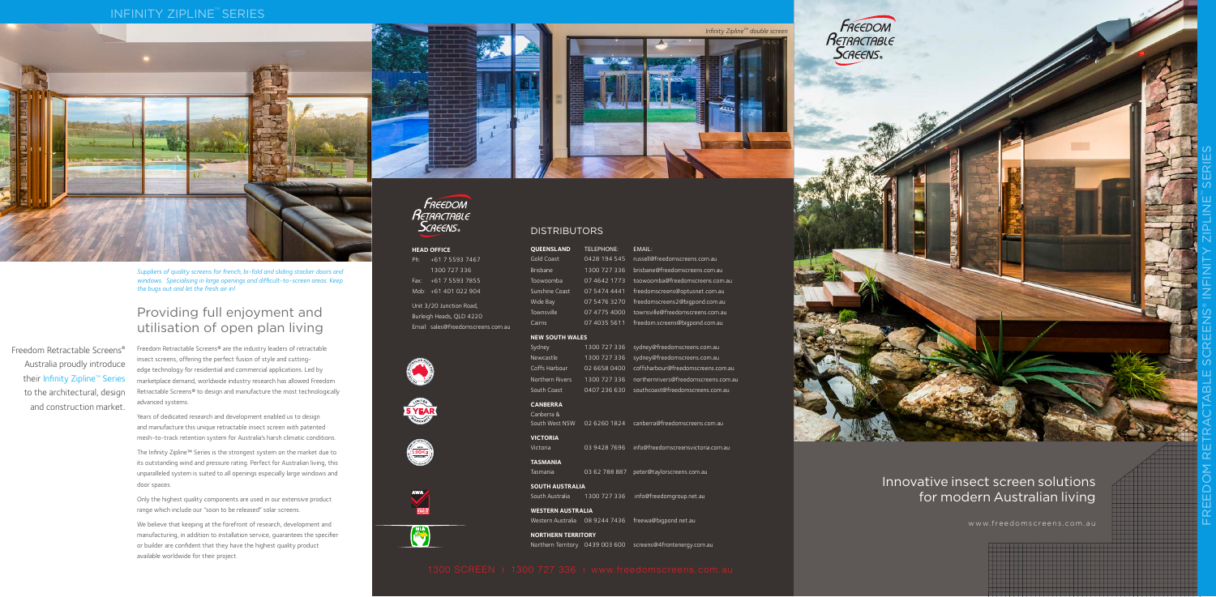Freedom Retractable Screens® are the industry leaders of retractable insect screens, offering the perfect fusion of style and cuttingedge technology for residential and commercial applications. Led by marketplace demand, worldwide industry research has allowed Freedom Retractable Screens® to design and manufacture the most technologically advanced systems.

Years of dedicated research and development enabled us to design and manufacture this unique retractable insect screen with patented mesh-to-track retention system for Australia's harsh climatic conditions.

The Infinity Zipline™ Series is the strongest system on the market due to its outstanding wind and pressure rating. Perfect for Australian living, this unparalleled system is suited to all openings especially large windows and door spaces.

Only the highest quality components are used in our extensive product range which include our "soon to be released" solar screens.

We believe that keeping at the forefront of research, development and manufacturing, in addition to installation service, guarantees the specifier or builder are confident that they have the highest quality product available worldwide for their project.













| <b>QUEENSLAND</b> | <b>TELEPHONE:</b> |  |
|-------------------|-------------------|--|
| Gold Coast        | 0428 194 545      |  |
| <b>Brisbane</b>   | 1300 727 336      |  |
| Toowoomba         | 07 4642 1773      |  |
| Sunshine Coast    | 07 5474 4441      |  |
| Wide Bay          | 07 5476 3270      |  |
| Townsville        | 07 4775 4000      |  |
| Cairns            | 07 4035 5611      |  |
|                   |                   |  |

| Sydney          | 1300 727 336 |
|-----------------|--------------|
| Newcastle       | 1300 727 336 |
| Coffs Harbour   | 02 6658 0400 |
| Northern Rivers | 1300 727 336 |
| South Coast     | 0407 236 630 |

| Canberra &     |              |  |
|----------------|--------------|--|
| South West NSW | 02 6260 1824 |  |
|                |              |  |

Freedom Retractable Screens® Australia proudly introduce their Infinity Zipline™ Series to the architectural, design and construction market.

*Suppliers of quality screens for french, bi-fold and sliding stacker doors and windows. Specialising in large openings and difficult-to-screen areas. Keep the bugs out and let the fresh air in!*

# Innovative insect screen solutions for modern Australian living

www.freedomscreens.com.au

# Providing full enjoyment and utilisation of open plan living

# **INFINITY ZIPLINE<sup>™</sup> SERIES**





Victoria 03 9428 7696 info@freedomscreensvictoria.com.au

## **TASMANIA**

Tasmania 03 62 788 887 peter@taylorscreens.com.au

### **SOUTH AUSTRALIA**

South Australia 1300 727 336 info@freedomgroup.net.au

### **WESTERN AUSTRALIA**

Western Australia 08 9244 7436 freewa@bigpond.net.au

### **NORTHERN TERRITORY**

Northern Territory 0439 003 600 screens@4frontenergy.com.au